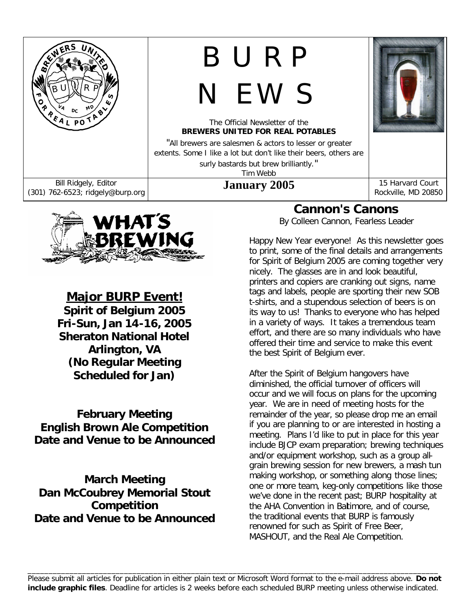



*Major BURP Event!* **Spirit of Belgium 2005 Fri-Sun, Jan 14-16, 2005 Sheraton National Hotel Arlington, VA (No Regular Meeting Scheduled for Jan)**

**February Meeting English Brown Ale Competition Date and Venue to be Announced**

**March Meeting Dan McCoubrey Memorial Stout Competition Date and Venue to be Announced**

## **Cannon's Canons**

*By Colleen Cannon, Fearless Leader*

Happy New Year everyone! As this newsletter goes to print, some of the final details and arrangements for Spirit of Belgium 2005 are coming together very nicely. The glasses are in and look beautiful, printers and copiers are cranking out signs, name tags and labels, people are sporting their new SOB t-shirts, and a stupendous selection of beers is on its way to us! Thanks to everyone who has helped in a variety of ways. It takes a tremendous team effort, and there are so many individuals who have offered their time and service to make this event the best Spirit of Belgium ever.

After the Spirit of Belgium hangovers have diminished, the official turnover of officers will occur and we will focus on plans for the upcoming year. We are in need of meeting hosts for the remainder of the year, so please drop me an email if you are planning to or are interested in hosting a meeting. Plans I'd like to put in place for this year include BJCP exam preparation; brewing techniques and/or equipment workshop, such as a group allgrain brewing session for new brewers, a mash tun making workshop, or something along those lines; one or more team, keg-only competitions like those we've done in the recent past; BURP hospitality at the AHA Convention in Baltimore, and of course, the traditional events that BURP is famously renowned for such as Spirit of Free Beer, MASHOUT, and the Real Ale Competition.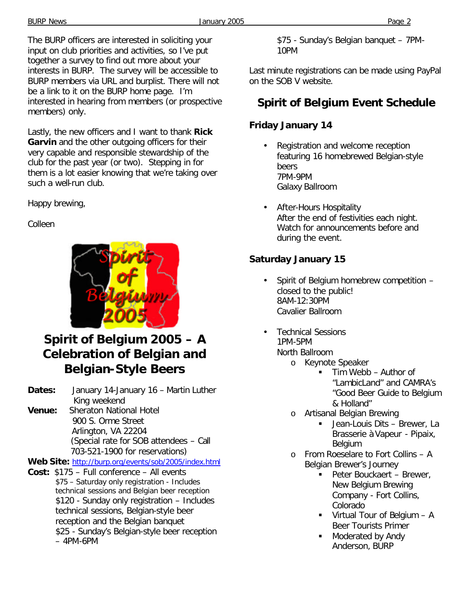The BURP officers are interested in soliciting your input on club priorities and activities, so I've put together a survey to find out more about your interests in BURP. The survey will be accessible to BURP members via URL and burplist. There will not be a link to it on the BURP home page. I'm interested in hearing from members (or prospective members) only.

Lastly, the new officers and I want to thank **Rick Garvin** and the other outgoing officers for their very capable and responsible stewardship of the club for the past year (or two). Stepping in for them is a lot easier knowing that we're taking over such a well-run club.

Happy brewing,

### Colleen



# **Spirit of Belgium 2005 – A Celebration of Belgian and Belgian-Style Beers**

- **Dates:** January 14-January 16 Martin Luther King weekend
- **Venue:** Sheraton National Hotel 900 S. Orme Street Arlington, VA 22204 (Special rate for SOB attendees – Call 703-521-1900 for reservations)

**Web Site:** http://burp.org/events/sob/2005/index.html

**Cost:** \$175 – Full conference – All events \$75 – Saturday only registration - Includes technical sessions and Belgian beer reception \$120 - Sunday only registration – Includes technical sessions, Belgian-style beer reception and the Belgian banquet \$25 - Sunday's Belgian-style beer reception – 4PM-6PM

\$75 - Sunday's Belgian banquet – 7PM-10PM

Last minute registrations can be made using PayPal on the SOB V website.

# **Spirit of Belgium Event Schedule**

### **Friday January 14**

- Registration and welcome reception featuring 16 homebrewed Belgian-style beers 7PM-9PM Galaxy Ballroom
- After-Hours Hospitality After the end of festivities each night. Watch for announcements before and during the event.

### **Saturday January 15**

- Spirit of Belgium homebrew competition closed to the public! 8AM-12:30PM Cavalier Ballroom
- Technical Sessions 1PM-5PM North Ballroom
	- o Keynote Speaker
		- ß Tim Webb Author of "LambicLand" and CAMRA's "Good Beer Guide to Belgium & Holland"
	- o Artisanal Belgian Brewing
		- ß Jean-Louis Dits Brewer, La Brasserie à Vapeur - Pipaix, Belgium
	- o From Roeselare to Fort Collins A Belgian Brewer's Journey
		- Peter Bouckaert Brewer, New Belgium Brewing Company - Fort Collins, Colorado
		- $\blacksquare$  Virtual Tour of Belgium A Beer Tourists Primer
		- ß Moderated by Andy Anderson, BURP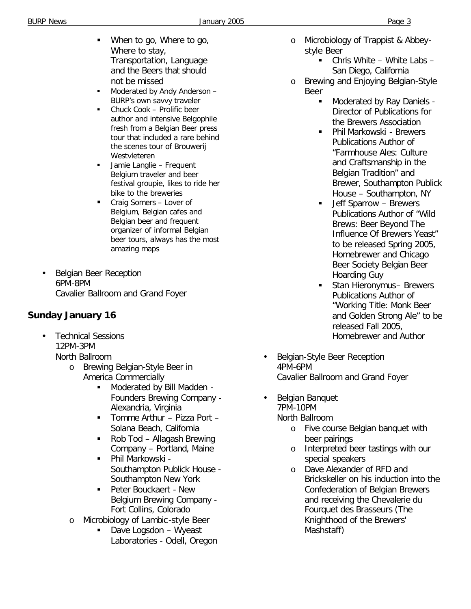- **When to go, Where to go,** Where to stay, Transportation, Language and the Beers that should not be missed
- **Moderated by Andy Anderson** BURP's own savvy traveler
- **•** Chuck Cook Prolific beer author and intensive Belgophile fresh from a Belgian Beer press tour that included a rare behind the scenes tour of Brouwerij Westvleteren
- **BEAD Jamie Langlie Frequent** Belgium traveler and beer festival groupie, likes to ride her bike to the breweries
- **Craig Somers Lover of** Belgium, Belgian cafes and Belgian beer and frequent organizer of informal Belgian beer tours, always has the most amazing maps
- Belgian Beer Reception 6PM-8PM Cavalier Ballroom and Grand Foyer

### **Sunday January 16**

- Technical Sessions 12PM-3PM North Ballroom
	- o Brewing Belgian-Style Beer in America Commercially
		- **Moderated by Bill Madden -**Founders Brewing Company - Alexandria, Virginia
		- Tomme Arthur Pizza Port Solana Beach, California
		- Rob Tod Allagash Brewing Company – Portland, Maine
		- ß Phil Markowski Southampton Publick House - Southampton New York
		- **Peter Bouckaert New** Belgium Brewing Company - Fort Collins, Colorado
	- o Microbiology of Lambic-style Beer
		- **Dave Logsdon Wyeast** Laboratories - Odell, Oregon
- o Microbiology of Trappist & Abbeystyle Beer
	- $\blacksquare$  Chris White White Labs San Diego, California
- o Brewing and Enjoying Belgian-Style Beer
	- ß Moderated by Ray Daniels Director of Publications for the Brewers Association
	- ß Phil Markowski Brewers Publications Author of "Farmhouse Ales: Culture and Craftsmanship in the Belgian Tradition" and Brewer, Southampton Publick House – Southampton, NY
	- ß Jeff Sparrow Brewers Publications Author of "Wild Brews: Beer Beyond The Influence Of Brewers Yeast" to be released Spring 2005, Homebrewer and Chicago Beer Society Belgian Beer Hoarding Guy
	- ß Stan Hieronymus– Brewers Publications Author of "Working Title: Monk Beer and Golden Strong Ale" to be released Fall 2005, Homebrewer and Author
- Belgian-Style Beer Reception 4PM-6PM Cavalier Ballroom and Grand Foyer
- Belgian Banquet 7PM-10PM North Ballroom
	- o Five course Belgian banquet with beer pairings
	- o Interpreted beer tastings with our special speakers
	- o Dave Alexander of RFD and Brickskeller on his induction into the Confederation of Belgian Brewers and receiving the Chevalerie du Fourquet des Brasseurs (The Knighthood of the Brewers' Mashstaff)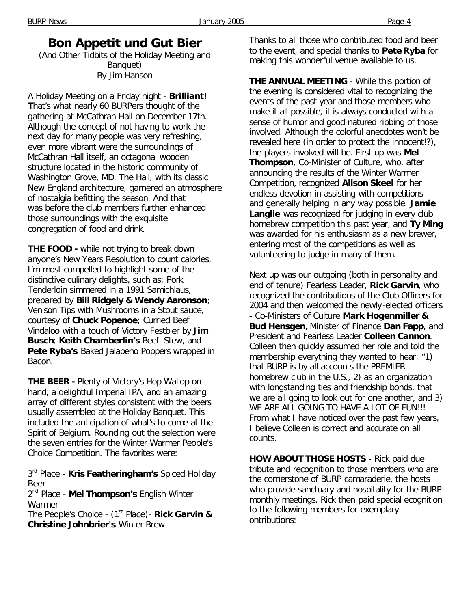## **Bon Appetit und Gut Bier**

(And Other Tidbits of the Holiday Meeting and Banquet) *By Jim Hanson*

A Holiday Meeting on a Friday night - **Brilliant! T**hat's what nearly 60 BURPers thought of the gathering at McCathran Hall on December 17th. Although the concept of not having to work the next day for many people was very refreshing, even more vibrant were the surroundings of McCathran Hall itself, an octagonal wooden structure located in the historic community of Washington Grove, MD. The Hall, with its classic New England architecture, garnered an atmosphere of nostalgia befitting the season. And that was before the club members further enhanced those surroundings with the exquisite congregation of food and drink.

**THE FOOD -** while not trying to break down anyone's New Years Resolution to count calories, I'm most compelled to highlight some of the distinctive culinary delights, such as: Pork Tenderloin simmered in a 1991 Samichlaus, prepared by **Bill Ridgely & Wendy Aaronson**; Venison Tips with Mushrooms in a Stout sauce, courtesy of **Chuck Popenoe**; Curried Beef Vindaloo with a touch of Victory Festbier by **Jim Busch**; **Keith Chamberlin's** Beef Stew, and **Pete Ryba's** Baked Jalapeno Poppers wrapped in Bacon.

**THE BEER -** Plenty of Victory's Hop Wallop on hand, a delightful Imperial IPA, and an amazing array of different styles consistent with the beers usually assembled at the Holiday Banquet. This included the anticipation of what's to come at the Spirit of Belgium. Rounding out the selection were the seven entries for the Winter Warmer People's Choice Competition. The favorites were:

3<sup>rd</sup> Place - **Kris Featheringham's** Spiced Holiday Beer

2<sup>nd</sup> Place - **Mel Thompson's** English Winter Warmer

The People's Choice - (1<sup>st</sup> Place) - **Rick Garvin & Christine Johnbrier's** Winter Brew

Thanks to all those who contributed food and beer to the event, and special thanks to **Pete Ryba** for making this wonderful venue available to us.

**THE ANNUAL MEETING** - While this portion of the evening is considered vital to recognizing the events of the past year and those members who make it all possible, it is always conducted with a sense of humor and good natured ribbing of those involved. Although the colorful anecdotes won't be revealed here (in order to protect the innocent!?), the players involved will be. First up was **Mel Thompson**, Co-Minister of Culture, who, after announcing the results of the Winter Warmer Competition, recognized **Alison Skeel** for her endless devotion in assisting with competitions and generally helping in any way possible. **Jamie**  Langlie was recognized for judging in every club homebrew competition this past year, and **Ty Ming** was awarded for his enthusiasm as a new brewer, entering most of the competitions as well as volunteering to judge in many of them.

Next up was our outgoing (both in personality and end of tenure) Fearless Leader, **Rick Garvin**, who recognized the contributions of the Club Officers for 2004 and then welcomed the newly-elected officers - Co-Ministers of Culture **Mark Hogenmiller & Bud Hensgen,** Minister of Finance **Dan Fapp**, and President and Fearless Leader **Colleen Cannon**. Colleen then quickly assumed her role and told the membership everything they wanted to hear: "1) that BURP is by all accounts the PREMIER homebrew club in the U.S., 2) as an organization with longstanding ties and friendship bonds, that we are all going to look out for one another, and 3) WE ARE ALL GOING TO HAVE A LOT OF FUN!!! From what I have noticed over the past few years, I believe Colleen is correct and accurate on all counts.

**HOW ABOUT THOSE HOSTS** - Rick paid due tribute and recognition to those members who are the cornerstone of BURP camaraderie, the hosts who provide sanctuary and hospitality for the BURP monthly meetings. Rick then paid special ecognition to the following members for exemplary ontributions: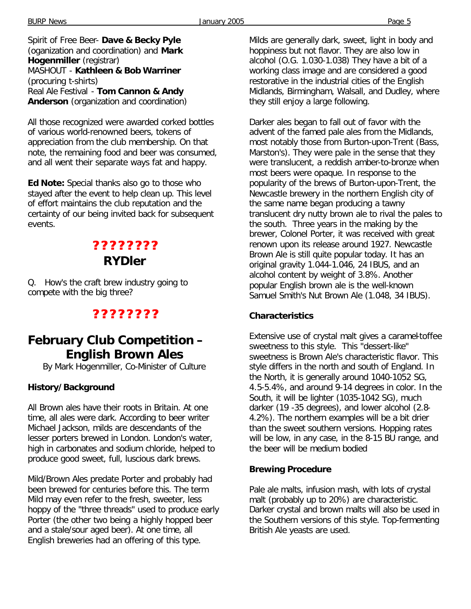BURP News Page 5

Spirit of Free Beer- **Dave & Becky Pyle** (oganization and coordination) and **Mark Hogenmiller** (registrar) MASHOUT - **Kathleen & Bob Warriner** (procuring t-shirts) Real Ale Festival - **Tom Cannon & Andy Anderson** (organization and coordination)

All those recognized were awarded corked bottles of various world-renowned beers, tokens of appreciation from the club membership. On that note, the remaining food and beer was consumed, and all went their separate ways fat and happy.

**Ed Note:** Special thanks also go to those who stayed after the event to help clean up. This level of effort maintains the club reputation and the certainty of our being invited back for subsequent events.

# **? ? ? ? ? ? ? ?**  *RYDler*

Q. How's the craft brew industry going to compete with the big three?

### **? ? ? ? ? ? ? ?**

## **February Club Competition – English Brown Ales**

*By Mark Hogenmiller, Co-Minister of Culture*

#### **History/Background**

All Brown ales have their roots in Britain. At one time, all ales were dark. According to beer writer Michael Jackson, milds are descendants of the lesser porters brewed in London. London's water, high in carbonates and sodium chloride, helped to produce good sweet, full, luscious dark brews.

Mild/Brown Ales predate Porter and probably had been brewed for centuries before this. The term Mild may even refer to the fresh, sweeter, less hoppy of the "three threads" used to produce early Porter (the other two being a highly hopped beer and a stale/sour aged beer). At one time, all English breweries had an offering of this type.

Milds are generally dark, sweet, light in body and hoppiness but not flavor. They are also low in alcohol (O.G. 1.030-1.038) They have a bit of a working class image and are considered a good restorative in the industrial cities of the English Midlands, Birmingham, Walsall, and Dudley, where they still enjoy a large following.

Darker ales began to fall out of favor with the advent of the famed pale ales from the Midlands, most notably those from Burton-upon-Trent (Bass, Marston's). They were pale in the sense that they were translucent, a reddish amber-to-bronze when most beers were opaque. In response to the popularity of the brews of Burton-upon-Trent, the Newcastle brewery in the northern English city of the same name began producing a tawny translucent dry nutty brown ale to rival the pales to the south. Three years in the making by the brewer, Colonel Porter, it was received with great renown upon its release around 1927. Newcastle Brown Ale is still quite popular today. It has an original gravity 1.044-1.046, 24 IBUS, and an alcohol content by weight of 3.8%. Another popular English brown ale is the well-known Samuel Smith's Nut Brown Ale (1.048, 34 IBUS).

#### **Characteristics**

Extensive use of crystal malt gives a caramel-toffee sweetness to this style. This "dessert-like" sweetness is Brown Ale's characteristic flavor. This style differs in the north and south of England. In the North, it is generally around 1040-1052 SG, 4.5-5.4%, and around 9-14 degrees in color. In the South, it will be lighter (1035-1042 SG), much darker (19 -35 degrees), and lower alcohol (2.8- 4.2%). The northern examples will be a bit drier than the sweet southern versions. Hopping rates will be low, in any case, in the 8-15 BU range, and the beer will be medium bodied

#### **Brewing Procedure**

Pale ale malts, infusion mash, with lots of crystal malt (probably up to 20%) are characteristic. Darker crystal and brown malts will also be used in the Southern versions of this style. Top-fermenting British Ale yeasts are used.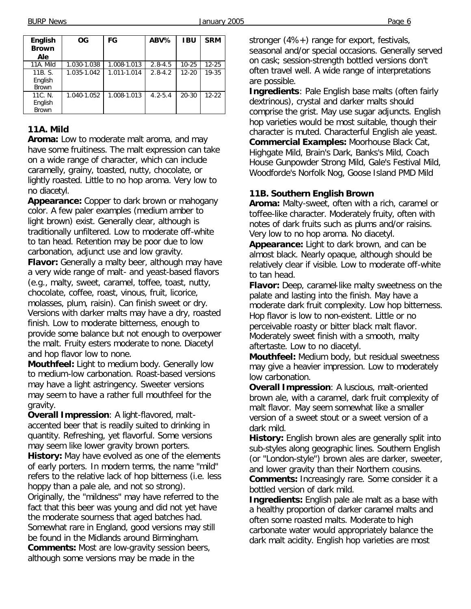BURP News Page 6

| English<br><b>Brown</b><br>Ale     | <b>OG</b>   | FG          | ABV%        | <b>IBU</b> | <b>SRM</b> |
|------------------------------------|-------------|-------------|-------------|------------|------------|
| 11A. Mild                          | 1.030-1.038 | 1.008-1.013 | $2.8 - 4.5$ | $10 - 25$  | $12 - 25$  |
| 11B. S.<br>English<br><b>Brown</b> | 1.035-1.042 | 1.011-1.014 | $2.8 - 4.2$ | $12 - 20$  | 19-35      |
| 11C. N.<br>English<br><b>Brown</b> | 1.040-1.052 | 1.008-1.013 | $4.2 - 5.4$ | $20 - 30$  | $12-22$    |

### **11A. Mild**

**Aroma:** Low to moderate malt aroma, and may have some fruitiness. The malt expression can take on a wide range of character, which can include caramelly, grainy, toasted, nutty, chocolate, or lightly roasted. Little to no hop aroma. Very low to no diacetyl.

**Appearance:** Copper to dark brown or mahogany color. A few paler examples (medium amber to light brown) exist. Generally clear, although is traditionally unfiltered. Low to moderate off-white to tan head. Retention may be poor due to low carbonation, adjunct use and low gravity. **Flavor:** Generally a malty beer, although may have a very wide range of malt- and yeast-based flavors (e.g., malty, sweet, caramel, toffee, toast, nutty, chocolate, coffee, roast, vinous, fruit, licorice, molasses, plum, raisin). Can finish sweet or dry. Versions with darker malts may have a dry, roasted finish. Low to moderate bitterness, enough to provide some balance but not enough to overpower the malt. Fruity esters moderate to none. Diacetyl and hop flavor low to none.

**Mouthfeel:** Light to medium body. Generally low to medium-low carbonation. Roast-based versions may have a light astringency. Sweeter versions may seem to have a rather full mouthfeel for the gravity.

**Overall Impression**: A light-flavored, maltaccented beer that is readily suited to drinking in quantity. Refreshing, yet flavorful. Some versions may seem like lower gravity brown porters. **History:** May have evolved as one of the elements

of early porters. In modern terms, the name "mild" refers to the relative lack of hop bitterness (i.e. less hoppy than a pale ale, and not so strong).

Originally, the "mildness" may have referred to the fact that this beer was young and did not yet have the moderate sourness that aged batches had. Somewhat rare in England, good versions may still be found in the Midlands around Birmingham. **Comments:** Most are low-gravity session beers, although some versions may be made in the

stronger (4%+) range for export, festivals, seasonal and/or special occasions. Generally served on cask; session-strength bottled versions don't often travel well. A wide range of interpretations are possible.

**Ingredients**: Pale English base malts (often fairly dextrinous), crystal and darker malts should comprise the grist. May use sugar adjuncts. English hop varieties would be most suitable, though their character is muted. Characterful English ale yeast. **Commercial Examples:** Moorhouse Black Cat, Highgate Mild, Brain's Dark, Banks's Mild, Coach House Gunpowder Strong Mild, Gale's Festival Mild, Woodforde's Norfolk Nog, Goose Island PMD Mild

### **11B. Southern English Brown**

**Aroma:** Malty-sweet, often with a rich, caramel or toffee-like character. Moderately fruity, often with notes of dark fruits such as plums and/or raisins. Very low to no hop aroma. No diacetyl.

**Appearance:** Light to dark brown, and can be almost black. Nearly opaque, although should be relatively clear if visible. Low to moderate off-white to tan head.

**Flavor:** Deep, caramel-like malty sweetness on the palate and lasting into the finish. May have a moderate dark fruit complexity. Low hop bitterness. Hop flavor is low to non-existent. Little or no perceivable roasty or bitter black malt flavor. Moderately sweet finish with a smooth, malty aftertaste. Low to no diacetyl.

**Mouthfeel:** Medium body, but residual sweetness may give a heavier impression. Low to moderately low carbonation.

**Overall Impression**: A luscious, malt-oriented brown ale, with a caramel, dark fruit complexity of malt flavor. May seem somewhat like a smaller version of a sweet stout or a sweet version of a dark mild.

**History:** English brown ales are generally split into sub-styles along geographic lines. Southern English (or "London-style") brown ales are darker, sweeter, and lower gravity than their Northern cousins.

**Comments:** Increasingly rare. Some consider it a bottled version of dark mild.

**Ingredients:** English pale ale malt as a base with a healthy proportion of darker caramel malts and often some roasted malts. Moderate to high carbonate water would appropriately balance the dark malt acidity. English hop varieties are most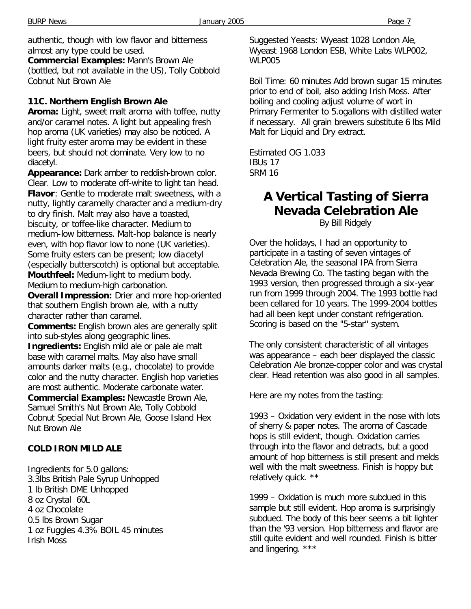authentic, though with low flavor and bitterness almost any type could be used.

**Commercial Examples:** Mann's Brown Ale (bottled, but not available in the US), Tolly Cobbold Cobnut Nut Brown Ale

#### **11C. Northern English Brown Ale**

**Aroma:** Light, sweet malt aroma with toffee, nutty and/or caramel notes. A light but appealing fresh hop aroma (UK varieties) may also be noticed. A light fruity ester aroma may be evident in these beers, but should not dominate. Very low to no diacetyl.

**Appearance:** Dark amber to reddish-brown color. Clear. Low to moderate off-white to light tan head. **Flavor**: Gentle to moderate malt sweetness, with a nutty, lightly caramelly character and a medium-dry to dry finish. Malt may also have a toasted, biscuity, or toffee-like character. Medium to medium-low bitterness. Malt-hop balance is nearly even, with hop flavor low to none (UK varieties). Some fruity esters can be present; low diacetyl (especially butterscotch) is optional but acceptable. **Mouthfeel:** Medium-light to medium body. Medium to medium-high carbonation.

**Overall Impression:** Drier and more hop-oriented that southern English brown ale, with a nutty character rather than caramel.

**Comments:** English brown ales are generally split into sub-styles along geographic lines.

**Ingredients:** English mild ale or pale ale malt base with caramel malts. May also have small amounts darker malts (e.g., chocolate) to provide color and the nutty character. English hop varieties are most authentic. Moderate carbonate water.

**Commercial Examples:** Newcastle Brown Ale, Samuel Smith's Nut Brown Ale, Tolly Cobbold Cobnut Special Nut Brown Ale, Goose Island Hex Nut Brown Ale

#### **COLD IRON MILD ALE**

Ingredients for 5.0 gallons: 3.3lbs British Pale Syrup Unhopped 1 lb British DME Unhopped 8 oz Crystal 60L 4 oz Chocolate 0.5 lbs Brown Sugar 1 oz Fuggles 4.3% BOIL 45 minutes Irish Moss

Suggested Yeasts: Wyeast 1028 London Ale, Wyeast 1968 London ESB, White Labs WLP002, WLP005

Boil Time: 60 minutes Add brown sugar 15 minutes prior to end of boil, also adding Irish Moss. After boiling and cooling adjust volume of wort in Primary Fermenter to 5.ogallons with distilled water if necessary. All grain brewers substitute 6 lbs Mild Malt for Liquid and Dry extract.

Estimated OG 1.033 IBUs 17 SRM 16

## **A Vertical Tasting of Sierra Nevada Celebration Ale**

*By Bill Ridgely*

Over the holidays, I had an opportunity to participate in a tasting of seven vintages of Celebration Ale, the seasonal IPA from Sierra Nevada Brewing Co. The tasting began with the 1993 version, then progressed through a six-year run from 1999 through 2004. The 1993 bottle had been cellared for 10 years. The 1999-2004 bottles had all been kept under constant refrigeration. Scoring is based on the "5-star" system.

The only consistent characteristic of all vintages was appearance – each beer displayed the classic Celebration Ale bronze-copper color and was crystal clear. Head retention was also good in all samples.

Here are my notes from the tasting:

1993 – Oxidation very evident in the nose with lots of sherry & paper notes. The aroma of Cascade hops is still evident, though. Oxidation carries through into the flavor and detracts, but a good amount of hop bitterness is still present and melds well with the malt sweetness. Finish is hoppy but relatively quick. \*\*

1999 – Oxidation is much more subdued in this sample but still evident. Hop aroma is surprisingly subdued. The body of this beer seems a bit lighter than the '93 version. Hop bitterness and flavor are still quite evident and well rounded. Finish is bitter and lingering. \*\*\*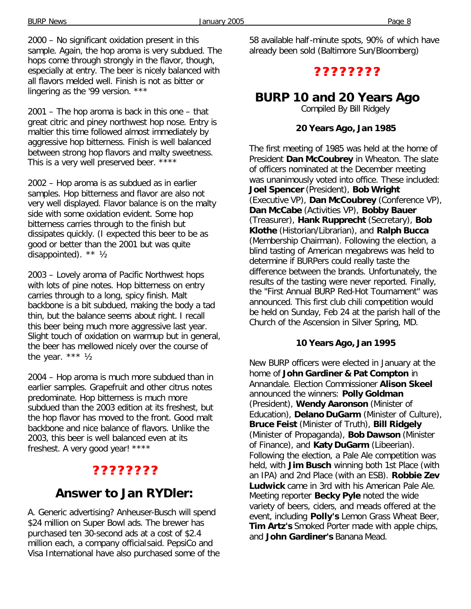2000 – No significant oxidation present in this sample. Again, the hop aroma is very subdued. The hops come through strongly in the flavor, though, especially at entry. The beer is nicely balanced with all flavors melded well. Finish is not as bitter or lingering as the '99 version. \*\*\*

2001 – The hop aroma is back in this one – that great citric and piney northwest hop nose. Entry is maltier this time followed almost immediately by aggressive hop bitterness. Finish is well balanced between strong hop flavors and malty sweetness. This is a very well preserved beer. \*\*\*\*

2002 – Hop aroma is as subdued as in earlier samples. Hop bitterness and flavor are also not very well displayed. Flavor balance is on the malty side with some oxidation evident. Some hop bitterness carries through to the finish but dissipates quickly. (I expected this beer to be as good or better than the 2001 but was quite disappointed). \*\* ½

2003 – Lovely aroma of Pacific Northwest hops with lots of pine notes. Hop bitterness on entry carries through to a long, spicy finish. Malt backbone is a bit subdued, making the body a tad thin, but the balance seems about right. I recall this beer being much more aggressive last year. Slight touch of oxidation on warmup but in general, the beer has mellowed nicely over the course of the year. \*\*\* ½

2004 – Hop aroma is much more subdued than in earlier samples. Grapefruit and other citrus notes predominate. Hop bitterness is much more subdued than the 2003 edition at its freshest, but the hop flavor has moved to the front. Good malt backbone and nice balance of flavors. Unlike the 2003, this beer is well balanced even at its freshest. A very good year! \*\*\*\*

# **? ? ? ? ? ? ? ?**

## *Answer to Jan RYDler:*

A. Generic advertising? Anheuser-Busch will spend \$24 million on Super Bowl ads. The brewer has purchased ten 30-second ads at a cost of \$2.4 million each, a company official said. PepsiCo and Visa International have also purchased some of the 58 available half-minute spots, 90% of which have already been sold (Baltimore Sun/Bloomberg)

### **? ? ? ? ? ? ? ?**

## **BURP 10 and 20 Years Ago**

*Compiled By Bill Ridgely*

#### **20 Years Ago, Jan 1985**

The first meeting of 1985 was held at the home of President **Dan McCoubrey** in Wheaton. The slate of officers nominated at the December meeting was unanimously voted into office. These included: **Joel Spencer** (President), **Bob Wright**  (Executive VP), **Dan McCoubrey** (Conference VP), **Dan McCabe** (Activities VP), **Bobby Bauer**  (Treasurer), **Hank Rupprecht** (Secretary), **Bob Klothe** (Historian/Librarian), and **Ralph Bucca**  (Membership Chairman). Following the election, a blind tasting of American megabrews was held to determine if BURPers could really taste the difference between the brands. Unfortunately, the results of the tasting were never reported. Finally, the "First Annual BURP Red-Hot Tournament" was announced. This first club chili competition would be held on Sunday, Feb 24 at the parish hall of the Church of the Ascension in Silver Spring, MD.

#### **10 Years Ago, Jan 1995**

New BURP officers were elected in January at the home of **John Gardiner & Pat Compton** in Annandale. Election Commissioner **Alison Skeel**  announced the winners: **Polly Goldman**  (President), **Wendy Aaronson** (Minister of Education), **Delano DuGarm** (Minister of Culture), **Bruce Feist** (Minister of Truth), **Bill Ridgely**  (Minister of Propaganda), **Bob Dawson** (Minister of Finance), and **Katy DuGarm** (Libeerian). Following the election, a Pale Ale competition was held, with **Jim Busch** winning both 1st Place (with an IPA) and 2nd Place (with an ESB). **Robbie Zev Ludwick** came in 3rd with his American Pale Ale. Meeting reporter **Becky Pyle** noted the wide variety of beers, ciders, and meads offered at the event, including **Polly's** Lemon Grass Wheat Beer, **Tim Artz's** Smoked Porter made with apple chips, and **John Gardiner's** Banana Mead.